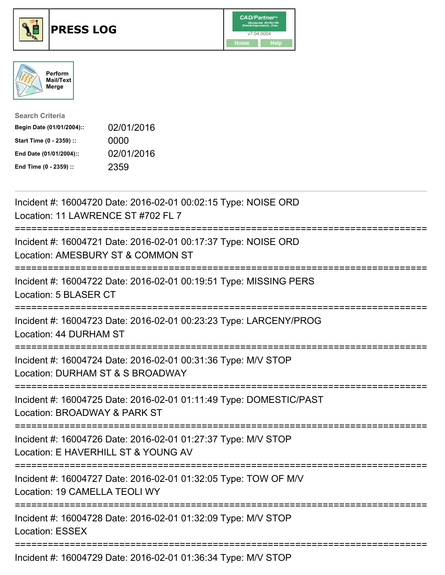





| <b>Search Criteria</b>    |            |
|---------------------------|------------|
| Begin Date (01/01/2004):: | 02/01/2016 |
| Start Time (0 - 2359) ::  | 0000       |
| End Date (01/01/2004)::   | 02/01/2016 |
| End Time (0 - 2359) ::    | 2359       |

| Incident #: 16004720 Date: 2016-02-01 00:02:15 Type: NOISE ORD<br>Location: 11 LAWRENCE ST #702 FL 7                            |
|---------------------------------------------------------------------------------------------------------------------------------|
| Incident #: 16004721 Date: 2016-02-01 00:17:37 Type: NOISE ORD<br>Location: AMESBURY ST & COMMON ST                             |
| Incident #: 16004722 Date: 2016-02-01 00:19:51 Type: MISSING PERS<br>Location: 5 BLASER CT<br>-----------                       |
| Incident #: 16004723 Date: 2016-02-01 00:23:23 Type: LARCENY/PROG<br>Location: 44 DURHAM ST<br>:==================              |
| Incident #: 16004724 Date: 2016-02-01 00:31:36 Type: M/V STOP<br>Location: DURHAM ST & S BROADWAY<br>-------------------------- |
| Incident #: 16004725 Date: 2016-02-01 01:11:49 Type: DOMESTIC/PAST<br>Location: BROADWAY & PARK ST                              |
| Incident #: 16004726 Date: 2016-02-01 01:27:37 Type: M/V STOP<br>Location: E HAVERHILL ST & YOUNG AV                            |
| Incident #: 16004727 Date: 2016-02-01 01:32:05 Type: TOW OF M/V<br>Location: 19 CAMELLA TEOLI WY                                |
| Incident #: 16004728 Date: 2016-02-01 01:32:09 Type: M/V STOP<br>Location: ESSEX                                                |
| Incident #: 16004729 Date: 2016-02-01 01:36:34 Type: M/V STOP                                                                   |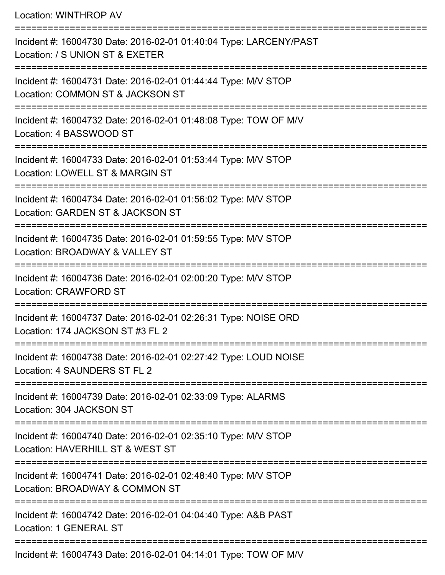|  | Location: WINTHROP AV |
|--|-----------------------|
|--|-----------------------|

| Incident #: 16004730 Date: 2016-02-01 01:40:04 Type: LARCENY/PAST<br>Location: / S UNION ST & EXETER |
|------------------------------------------------------------------------------------------------------|
| Incident #: 16004731 Date: 2016-02-01 01:44:44 Type: M/V STOP<br>Location: COMMON ST & JACKSON ST    |
| Incident #: 16004732 Date: 2016-02-01 01:48:08 Type: TOW OF M/V<br>Location: 4 BASSWOOD ST           |
| Incident #: 16004733 Date: 2016-02-01 01:53:44 Type: M/V STOP<br>Location: LOWELL ST & MARGIN ST     |
| Incident #: 16004734 Date: 2016-02-01 01:56:02 Type: M/V STOP<br>Location: GARDEN ST & JACKSON ST    |
| Incident #: 16004735 Date: 2016-02-01 01:59:55 Type: M/V STOP<br>Location: BROADWAY & VALLEY ST      |
| Incident #: 16004736 Date: 2016-02-01 02:00:20 Type: M/V STOP<br><b>Location: CRAWFORD ST</b>        |
| Incident #: 16004737 Date: 2016-02-01 02:26:31 Type: NOISE ORD<br>Location: 174 JACKSON ST #3 FL 2   |
| Incident #: 16004738 Date: 2016-02-01 02:27:42 Type: LOUD NOISE<br>Location: 4 SAUNDERS ST FL 2      |
| Incident #: 16004739 Date: 2016-02-01 02:33:09 Type: ALARMS<br>Location: 304 JACKSON ST              |
| Incident #: 16004740 Date: 2016-02-01 02:35:10 Type: M/V STOP<br>Location: HAVERHILL ST & WEST ST    |
| Incident #: 16004741 Date: 2016-02-01 02:48:40 Type: M/V STOP<br>Location: BROADWAY & COMMON ST      |
| Incident #: 16004742 Date: 2016-02-01 04:04:40 Type: A&B PAST<br><b>Location: 1 GENERAL ST</b>       |
| Incident #: 16004743 Date: 2016-02-01 04:14:01 Type: TOW OF M/V                                      |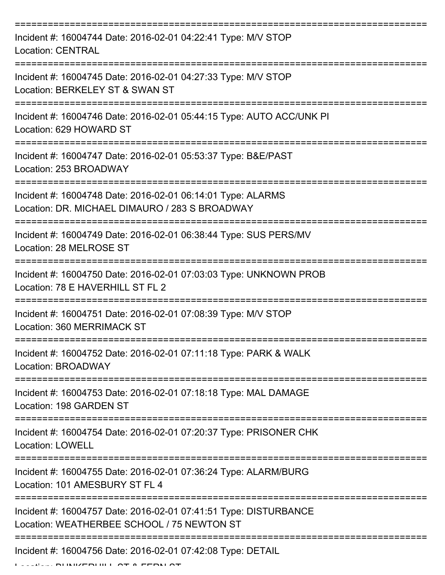| Incident #: 16004744 Date: 2016-02-01 04:22:41 Type: M/V STOP<br><b>Location: CENTRAL</b>                      |
|----------------------------------------------------------------------------------------------------------------|
| Incident #: 16004745 Date: 2016-02-01 04:27:33 Type: M/V STOP<br>Location: BERKELEY ST & SWAN ST               |
| Incident #: 16004746 Date: 2016-02-01 05:44:15 Type: AUTO ACC/UNK PI<br>Location: 629 HOWARD ST                |
| Incident #: 16004747 Date: 2016-02-01 05:53:37 Type: B&E/PAST<br>Location: 253 BROADWAY                        |
| Incident #: 16004748 Date: 2016-02-01 06:14:01 Type: ALARMS<br>Location: DR. MICHAEL DIMAURO / 283 S BROADWAY  |
| Incident #: 16004749 Date: 2016-02-01 06:38:44 Type: SUS PERS/MV<br>Location: 28 MELROSE ST                    |
| Incident #: 16004750 Date: 2016-02-01 07:03:03 Type: UNKNOWN PROB<br>Location: 78 E HAVERHILL ST FL 2          |
| Incident #: 16004751 Date: 2016-02-01 07:08:39 Type: M/V STOP<br>Location: 360 MERRIMACK ST                    |
| Incident #: 16004752 Date: 2016-02-01 07:11:18 Type: PARK & WALK<br>Location: BROADWAY                         |
| Incident #: 16004753 Date: 2016-02-01 07:18:18 Type: MAL DAMAGE<br>Location: 198 GARDEN ST                     |
| Incident #: 16004754 Date: 2016-02-01 07:20:37 Type: PRISONER CHK<br><b>Location: LOWELL</b>                   |
| Incident #: 16004755 Date: 2016-02-01 07:36:24 Type: ALARM/BURG<br>Location: 101 AMESBURY ST FL 4              |
| Incident #: 16004757 Date: 2016-02-01 07:41:51 Type: DISTURBANCE<br>Location: WEATHERBEE SCHOOL / 75 NEWTON ST |
| Incident #: 16004756 Date: 2016-02-01 07:42:08 Type: DETAIL                                                    |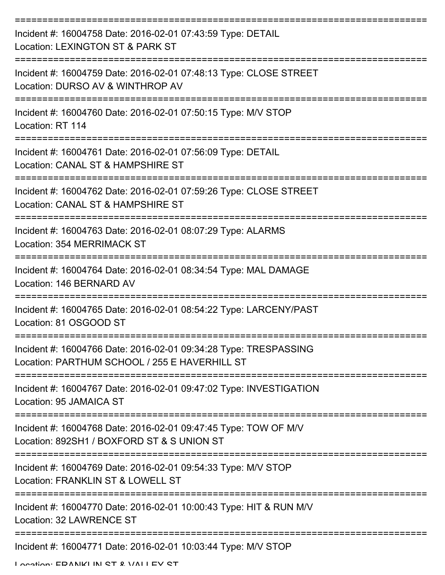| Incident #: 16004758 Date: 2016-02-01 07:43:59 Type: DETAIL<br>Location: LEXINGTON ST & PARK ST                                 |
|---------------------------------------------------------------------------------------------------------------------------------|
| Incident #: 16004759 Date: 2016-02-01 07:48:13 Type: CLOSE STREET<br>Location: DURSO AV & WINTHROP AV                           |
| Incident #: 16004760 Date: 2016-02-01 07:50:15 Type: M/V STOP<br>Location: RT 114                                               |
| Incident #: 16004761 Date: 2016-02-01 07:56:09 Type: DETAIL<br>Location: CANAL ST & HAMPSHIRE ST                                |
| Incident #: 16004762 Date: 2016-02-01 07:59:26 Type: CLOSE STREET<br>Location: CANAL ST & HAMPSHIRE ST<br>===================== |
| Incident #: 16004763 Date: 2016-02-01 08:07:29 Type: ALARMS<br>Location: 354 MERRIMACK ST                                       |
| Incident #: 16004764 Date: 2016-02-01 08:34:54 Type: MAL DAMAGE<br>Location: 146 BERNARD AV                                     |
| Incident #: 16004765 Date: 2016-02-01 08:54:22 Type: LARCENY/PAST<br>Location: 81 OSGOOD ST                                     |
| Incident #: 16004766 Date: 2016-02-01 09:34:28 Type: TRESPASSING<br>Location: PARTHUM SCHOOL / 255 E HAVERHILL ST               |
| Incident #: 16004767 Date: 2016-02-01 09:47:02 Type: INVESTIGATION<br>Location: 95 JAMAICA ST                                   |
| Incident #: 16004768 Date: 2016-02-01 09:47:45 Type: TOW OF M/V<br>Location: 892SH1 / BOXFORD ST & S UNION ST                   |
| Incident #: 16004769 Date: 2016-02-01 09:54:33 Type: M/V STOP<br>Location: FRANKLIN ST & LOWELL ST                              |
| Incident #: 16004770 Date: 2016-02-01 10:00:43 Type: HIT & RUN M/V<br>Location: 32 LAWRENCE ST                                  |
| Incident #: 16004771 Date: 2016-02-01 10:03:44 Type: M/V STOP                                                                   |

Location: EDANIKI IN CT & VALLEY CT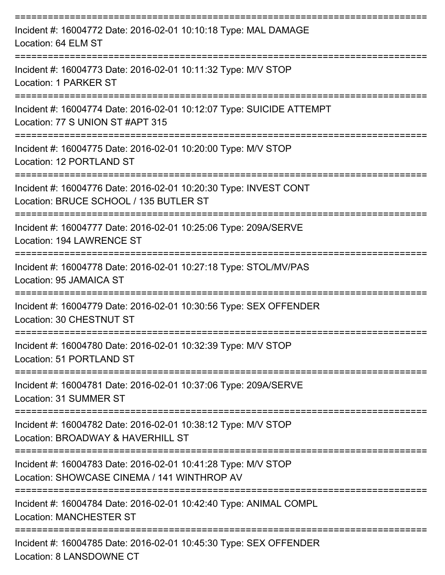| Incident #: 16004772 Date: 2016-02-01 10:10:18 Type: MAL DAMAGE<br>Location: 64 ELM ST                       |
|--------------------------------------------------------------------------------------------------------------|
| Incident #: 16004773 Date: 2016-02-01 10:11:32 Type: M/V STOP<br>Location: 1 PARKER ST                       |
| Incident #: 16004774 Date: 2016-02-01 10:12:07 Type: SUICIDE ATTEMPT<br>Location: 77 S UNION ST #APT 315     |
| Incident #: 16004775 Date: 2016-02-01 10:20:00 Type: M/V STOP<br>Location: 12 PORTLAND ST                    |
| Incident #: 16004776 Date: 2016-02-01 10:20:30 Type: INVEST CONT<br>Location: BRUCE SCHOOL / 135 BUTLER ST   |
| Incident #: 16004777 Date: 2016-02-01 10:25:06 Type: 209A/SERVE<br>Location: 194 LAWRENCE ST                 |
| Incident #: 16004778 Date: 2016-02-01 10:27:18 Type: STOL/MV/PAS<br>Location: 95 JAMAICA ST                  |
| Incident #: 16004779 Date: 2016-02-01 10:30:56 Type: SEX OFFENDER<br>Location: 30 CHESTNUT ST                |
| Incident #: 16004780 Date: 2016-02-01 10:32:39 Type: M/V STOP<br>Location: 51 PORTLAND ST                    |
| Incident #: 16004781 Date: 2016-02-01 10:37:06 Type: 209A/SERVE<br>Location: 31 SUMMER ST                    |
| Incident #: 16004782 Date: 2016-02-01 10:38:12 Type: M/V STOP<br>Location: BROADWAY & HAVERHILL ST           |
| Incident #: 16004783 Date: 2016-02-01 10:41:28 Type: M/V STOP<br>Location: SHOWCASE CINEMA / 141 WINTHROP AV |
| Incident #: 16004784 Date: 2016-02-01 10:42:40 Type: ANIMAL COMPL<br><b>Location: MANCHESTER ST</b>          |
| Incident #: 16004785 Date: 2016-02-01 10:45:30 Type: SEX OFFENDER                                            |

Location: 8 LANSDOWNE CT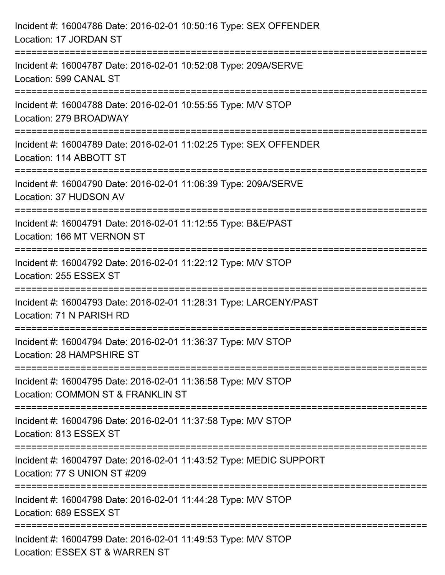| Incident #: 16004786 Date: 2016-02-01 10:50:16 Type: SEX OFFENDER<br>Location: 17 JORDAN ST                     |
|-----------------------------------------------------------------------------------------------------------------|
| Incident #: 16004787 Date: 2016-02-01 10:52:08 Type: 209A/SERVE<br>Location: 599 CANAL ST                       |
| Incident #: 16004788 Date: 2016-02-01 10:55:55 Type: M/V STOP<br>Location: 279 BROADWAY                         |
| Incident #: 16004789 Date: 2016-02-01 11:02:25 Type: SEX OFFENDER<br>Location: 114 ABBOTT ST                    |
| Incident #: 16004790 Date: 2016-02-01 11:06:39 Type: 209A/SERVE<br>Location: 37 HUDSON AV                       |
| Incident #: 16004791 Date: 2016-02-01 11:12:55 Type: B&E/PAST<br>Location: 166 MT VERNON ST                     |
| :===================<br>Incident #: 16004792 Date: 2016-02-01 11:22:12 Type: M/V STOP<br>Location: 255 ESSEX ST |
| Incident #: 16004793 Date: 2016-02-01 11:28:31 Type: LARCENY/PAST<br>Location: 71 N PARISH RD                   |
| Incident #: 16004794 Date: 2016-02-01 11:36:37 Type: M/V STOP<br>Location: 28 HAMPSHIRE ST                      |
| Incident #: 16004795 Date: 2016-02-01 11:36:58 Type: M/V STOP<br>Location: COMMON ST & FRANKLIN ST              |
| Incident #: 16004796 Date: 2016-02-01 11:37:58 Type: M/V STOP<br>Location: 813 ESSEX ST                         |
| Incident #: 16004797 Date: 2016-02-01 11:43:52 Type: MEDIC SUPPORT<br>Location: 77 S UNION ST #209              |
| Incident #: 16004798 Date: 2016-02-01 11:44:28 Type: M/V STOP<br>Location: 689 ESSEX ST                         |
| Incident #: 16004799 Date: 2016-02-01 11:49:53 Type: M/V STOP<br>Location: ESSEX ST & WARREN ST                 |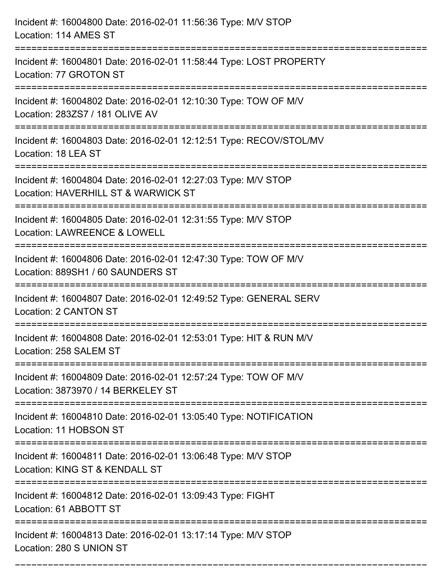| Incident #: 16004800 Date: 2016-02-01 11:56:36 Type: M/V STOP<br>Location: 114 AMES ST<br>================================= |
|-----------------------------------------------------------------------------------------------------------------------------|
| Incident #: 16004801 Date: 2016-02-01 11:58:44 Type: LOST PROPERTY<br>Location: 77 GROTON ST                                |
| Incident #: 16004802 Date: 2016-02-01 12:10:30 Type: TOW OF M/V<br>Location: 283ZS7 / 181 OLIVE AV                          |
| Incident #: 16004803 Date: 2016-02-01 12:12:51 Type: RECOV/STOL/MV<br>Location: 18 LEA ST                                   |
| Incident #: 16004804 Date: 2016-02-01 12:27:03 Type: M/V STOP<br>Location: HAVERHILL ST & WARWICK ST                        |
| Incident #: 16004805 Date: 2016-02-01 12:31:55 Type: M/V STOP<br>Location: LAWREENCE & LOWELL                               |
| Incident #: 16004806 Date: 2016-02-01 12:47:30 Type: TOW OF M/V<br>Location: 889SH1 / 60 SAUNDERS ST                        |
| Incident #: 16004807 Date: 2016-02-01 12:49:52 Type: GENERAL SERV<br><b>Location: 2 CANTON ST</b>                           |
| Incident #: 16004808 Date: 2016-02-01 12:53:01 Type: HIT & RUN M/V<br>Location: 258 SALEM ST                                |
| Incident #: 16004809 Date: 2016-02-01 12:57:24 Type: TOW OF M/V<br>Location: 3873970 / 14 BERKELEY ST                       |
| Incident #: 16004810 Date: 2016-02-01 13:05:40 Type: NOTIFICATION<br>Location: 11 HOBSON ST                                 |
| Incident #: 16004811 Date: 2016-02-01 13:06:48 Type: M/V STOP<br>Location: KING ST & KENDALL ST                             |
| Incident #: 16004812 Date: 2016-02-01 13:09:43 Type: FIGHT<br>Location: 61 ABBOTT ST                                        |
| Incident #: 16004813 Date: 2016-02-01 13:17:14 Type: M/V STOP<br>Location: 280 S UNION ST                                   |

===========================================================================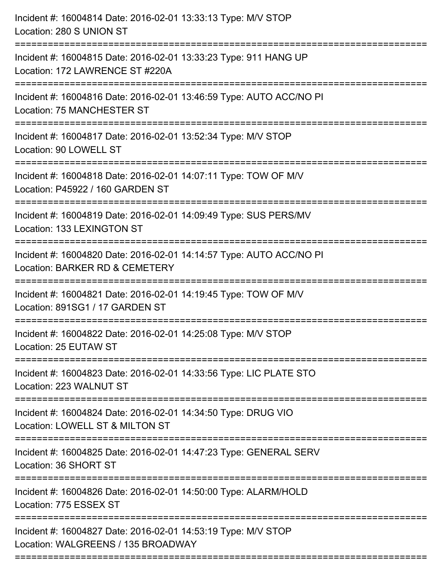| Incident #: 16004814 Date: 2016-02-01 13:33:13 Type: M/V STOP<br>Location: 280 S UNION ST<br>=================================         |
|----------------------------------------------------------------------------------------------------------------------------------------|
| Incident #: 16004815 Date: 2016-02-01 13:33:23 Type: 911 HANG UP<br>Location: 172 LAWRENCE ST #220A                                    |
| Incident #: 16004816 Date: 2016-02-01 13:46:59 Type: AUTO ACC/NO PI<br>Location: 75 MANCHESTER ST<br>:================================ |
| Incident #: 16004817 Date: 2016-02-01 13:52:34 Type: M/V STOP<br>Location: 90 LOWELL ST                                                |
| Incident #: 16004818 Date: 2016-02-01 14:07:11 Type: TOW OF M/V<br>Location: P45922 / 160 GARDEN ST                                    |
| Incident #: 16004819 Date: 2016-02-01 14:09:49 Type: SUS PERS/MV<br>Location: 133 LEXINGTON ST                                         |
| Incident #: 16004820 Date: 2016-02-01 14:14:57 Type: AUTO ACC/NO PI<br>Location: BARKER RD & CEMETERY                                  |
| Incident #: 16004821 Date: 2016-02-01 14:19:45 Type: TOW OF M/V<br>Location: 891SG1 / 17 GARDEN ST                                     |
| Incident #: 16004822 Date: 2016-02-01 14:25:08 Type: M/V STOP<br>Location: 25 EUTAW ST                                                 |
| Incident #: 16004823 Date: 2016-02-01 14:33:56 Type: LIC PLATE STO<br>Location: 223 WALNUT ST                                          |
| Incident #: 16004824 Date: 2016-02-01 14:34:50 Type: DRUG VIO<br>Location: LOWELL ST & MILTON ST                                       |
| Incident #: 16004825 Date: 2016-02-01 14:47:23 Type: GENERAL SERV<br>Location: 36 SHORT ST                                             |
| Incident #: 16004826 Date: 2016-02-01 14:50:00 Type: ALARM/HOLD<br>Location: 775 ESSEX ST                                              |
| Incident #: 16004827 Date: 2016-02-01 14:53:19 Type: M/V STOP<br>Location: WALGREENS / 135 BROADWAY                                    |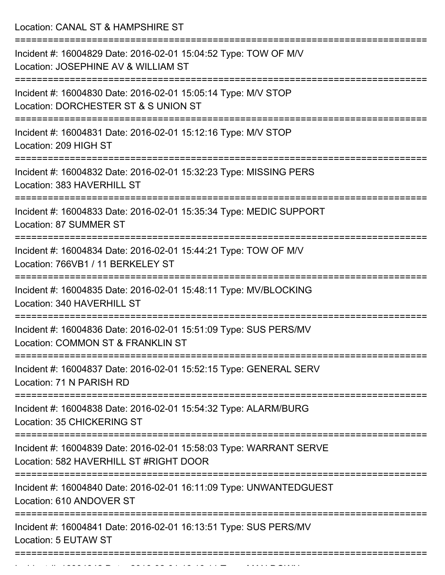Location: CANAL ST & HAMPSHIRE ST =========================================================================== Incident #: 16004829 Date: 2016-02-01 15:04:52 Type: TOW OF M/V Location: JOSEPHINE AV & WILLIAM ST =========================================================================== Incident #: 16004830 Date: 2016-02-01 15:05:14 Type: M/V STOP Location: DORCHESTER ST & S UNION ST =========================================================================== Incident #: 16004831 Date: 2016-02-01 15:12:16 Type: M/V STOP Location: 209 HIGH ST =========================================================================== Incident #: 16004832 Date: 2016-02-01 15:32:23 Type: MISSING PERS Location: 383 HAVERHILL ST =========================================================================== Incident #: 16004833 Date: 2016-02-01 15:35:34 Type: MEDIC SUPPORT Location: 87 SUMMER ST =========================================================================== Incident #: 16004834 Date: 2016-02-01 15:44:21 Type: TOW OF M/V Location: 766VB1 / 11 BERKELEY ST =========================================================================== Incident #: 16004835 Date: 2016-02-01 15:48:11 Type: MV/BLOCKING Location: 340 HAVERHILL ST =========================================================================== Incident #: 16004836 Date: 2016-02-01 15:51:09 Type: SUS PERS/MV Location: COMMON ST & FRANKLIN ST =========================================================================== Incident #: 16004837 Date: 2016-02-01 15:52:15 Type: GENERAL SERV Location: 71 N PARISH RD =========================================================================== Incident #: 16004838 Date: 2016-02-01 15:54:32 Type: ALARM/BURG Location: 35 CHICKERING ST =========================================================================== Incident #: 16004839 Date: 2016-02-01 15:58:03 Type: WARRANT SERVE Location: 582 HAVERHILL ST #RIGHT DOOR =========================================================================== Incident #: 16004840 Date: 2016-02-01 16:11:09 Type: UNWANTEDGUEST Location: 610 ANDOVER ST =========================================================================== Incident #: 16004841 Date: 2016-02-01 16:13:51 Type: SUS PERS/MV Location: 5 EUTAW ST ===========================================================================

Incident #: 16004842 Date: 2016 02 01 16:16:11 Type: MAN DOWN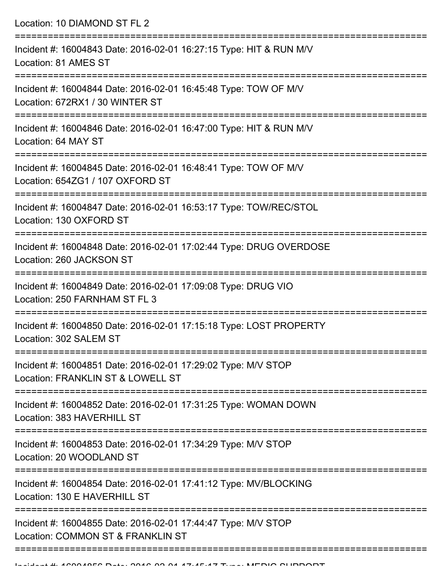Location: 10 DIAMOND ST FL 2 =========================================================================== Incident #: 16004843 Date: 2016-02-01 16:27:15 Type: HIT & RUN M/V Location: 81 AMES ST =========================================================================== Incident #: 16004844 Date: 2016-02-01 16:45:48 Type: TOW OF M/V Location: 672RX1 / 30 WINTER ST =========================================================================== Incident #: 16004846 Date: 2016-02-01 16:47:00 Type: HIT & RUN M/V Location: 64 MAY ST =========================================================================== Incident #: 16004845 Date: 2016-02-01 16:48:41 Type: TOW OF M/V Location: 654ZG1 / 107 OXFORD ST =========================================================================== Incident #: 16004847 Date: 2016-02-01 16:53:17 Type: TOW/REC/STOL Location: 130 OXFORD ST =========================================================================== Incident #: 16004848 Date: 2016-02-01 17:02:44 Type: DRUG OVERDOSE Location: 260 JACKSON ST =========================================================================== Incident #: 16004849 Date: 2016-02-01 17:09:08 Type: DRUG VIO Location: 250 FARNHAM ST FL 3 =========================================================================== Incident #: 16004850 Date: 2016-02-01 17:15:18 Type: LOST PROPERTY Location: 302 SALEM ST =========================================================================== Incident #: 16004851 Date: 2016-02-01 17:29:02 Type: M/V STOP Location: FRANKLIN ST & LOWELL ST =========================================================================== Incident #: 16004852 Date: 2016-02-01 17:31:25 Type: WOMAN DOWN Location: 383 HAVERHILL ST =========================================================================== Incident #: 16004853 Date: 2016-02-01 17:34:29 Type: M/V STOP Location: 20 WOODLAND ST =========================================================================== Incident #: 16004854 Date: 2016-02-01 17:41:12 Type: MV/BLOCKING Location: 130 F HAVERHILL ST =========================================================================== Incident #: 16004855 Date: 2016-02-01 17:44:47 Type: M/V STOP Location: COMMON ST & FRANKLIN ST =============================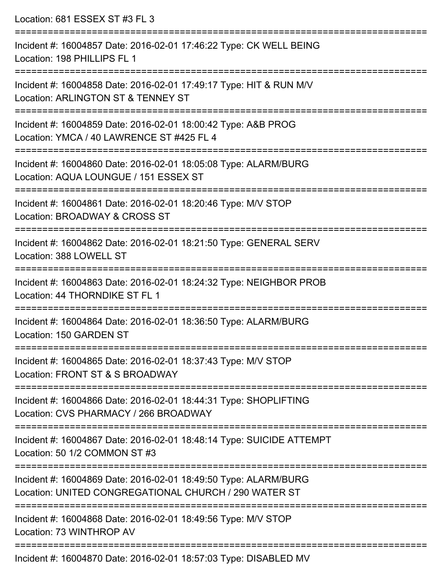| Location: 681 ESSEX ST #3 FL 3                                                                                                   |
|----------------------------------------------------------------------------------------------------------------------------------|
| Incident #: 16004857 Date: 2016-02-01 17:46:22 Type: CK WELL BEING<br>Location: 198 PHILLIPS FL 1                                |
| Incident #: 16004858 Date: 2016-02-01 17:49:17 Type: HIT & RUN M/V<br>Location: ARLINGTON ST & TENNEY ST                         |
| Incident #: 16004859 Date: 2016-02-01 18:00:42 Type: A&B PROG<br>Location: YMCA / 40 LAWRENCE ST #425 FL 4                       |
| Incident #: 16004860 Date: 2016-02-01 18:05:08 Type: ALARM/BURG<br>Location: AQUA LOUNGUE / 151 ESSEX ST                         |
| Incident #: 16004861 Date: 2016-02-01 18:20:46 Type: M/V STOP<br>Location: BROADWAY & CROSS ST                                   |
| Incident #: 16004862 Date: 2016-02-01 18:21:50 Type: GENERAL SERV<br>Location: 388 LOWELL ST                                     |
| Incident #: 16004863 Date: 2016-02-01 18:24:32 Type: NEIGHBOR PROB<br>Location: 44 THORNDIKE ST FL 1                             |
| Incident #: 16004864 Date: 2016-02-01 18:36:50 Type: ALARM/BURG<br>Location: 150 GARDEN ST<br>==========================         |
| Incident #: 16004865 Date: 2016-02-01 18:37:43 Type: M/V STOP<br>Location: FRONT ST & S BROADWAY                                 |
| Incident #: 16004866 Date: 2016-02-01 18:44:31 Type: SHOPLIFTING<br>Location: CVS PHARMACY / 266 BROADWAY<br>=================== |
| Incident #: 16004867 Date: 2016-02-01 18:48:14 Type: SUICIDE ATTEMPT<br>Location: 50 1/2 COMMON ST #3                            |
| Incident #: 16004869 Date: 2016-02-01 18:49:50 Type: ALARM/BURG<br>Location: UNITED CONGREGATIONAL CHURCH / 290 WATER ST         |
| Incident #: 16004868 Date: 2016-02-01 18:49:56 Type: M/V STOP<br>Location: 73 WINTHROP AV                                        |
|                                                                                                                                  |

Incident #: 16004870 Date: 2016-02-01 18:57:03 Type: DISABLED MV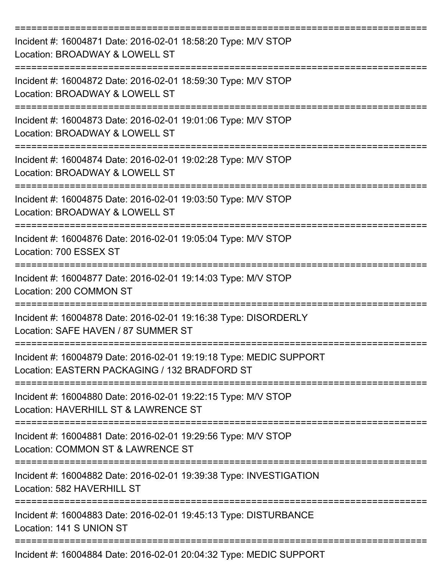| Incident #: 16004871 Date: 2016-02-01 18:58:20 Type: M/V STOP<br>Location: BROADWAY & LOWELL ST                     |
|---------------------------------------------------------------------------------------------------------------------|
| Incident #: 16004872 Date: 2016-02-01 18:59:30 Type: M/V STOP<br>Location: BROADWAY & LOWELL ST                     |
| Incident #: 16004873 Date: 2016-02-01 19:01:06 Type: M/V STOP<br>Location: BROADWAY & LOWELL ST                     |
| Incident #: 16004874 Date: 2016-02-01 19:02:28 Type: M/V STOP<br>Location: BROADWAY & LOWELL ST                     |
| Incident #: 16004875 Date: 2016-02-01 19:03:50 Type: M/V STOP<br>Location: BROADWAY & LOWELL ST                     |
| Incident #: 16004876 Date: 2016-02-01 19:05:04 Type: M/V STOP<br>Location: 700 ESSEX ST                             |
| Incident #: 16004877 Date: 2016-02-01 19:14:03 Type: M/V STOP<br>Location: 200 COMMON ST                            |
| =======<br>Incident #: 16004878 Date: 2016-02-01 19:16:38 Type: DISORDERLY<br>Location: SAFE HAVEN / 87 SUMMER ST   |
| Incident #: 16004879 Date: 2016-02-01 19:19:18 Type: MEDIC SUPPORT<br>Location: EASTERN PACKAGING / 132 BRADFORD ST |
| Incident #: 16004880 Date: 2016-02-01 19:22:15 Type: M/V STOP<br>Location: HAVERHILL ST & LAWRENCE ST               |
| Incident #: 16004881 Date: 2016-02-01 19:29:56 Type: M/V STOP<br>Location: COMMON ST & LAWRENCE ST                  |
| Incident #: 16004882 Date: 2016-02-01 19:39:38 Type: INVESTIGATION<br>Location: 582 HAVERHILL ST                    |
| Incident #: 16004883 Date: 2016-02-01 19:45:13 Type: DISTURBANCE<br>Location: 141 S UNION ST                        |
| Incident #: 16004884 Date: 2016-02-01 20:04:32 Type: MEDIC SUPPORT                                                  |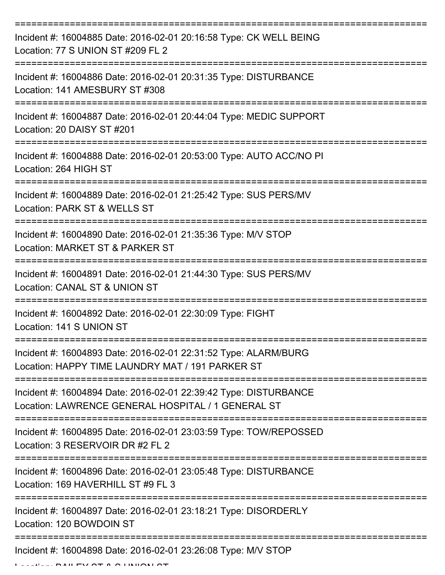| Incident #: 16004885 Date: 2016-02-01 20:16:58 Type: CK WELL BEING<br>Location: 77 S UNION ST #209 FL 2                |
|------------------------------------------------------------------------------------------------------------------------|
| Incident #: 16004886 Date: 2016-02-01 20:31:35 Type: DISTURBANCE<br>Location: 141 AMESBURY ST #308                     |
| Incident #: 16004887 Date: 2016-02-01 20:44:04 Type: MEDIC SUPPORT<br>Location: 20 DAISY ST #201                       |
| Incident #: 16004888 Date: 2016-02-01 20:53:00 Type: AUTO ACC/NO PI<br>Location: 264 HIGH ST                           |
| Incident #: 16004889 Date: 2016-02-01 21:25:42 Type: SUS PERS/MV<br>Location: PARK ST & WELLS ST                       |
| Incident #: 16004890 Date: 2016-02-01 21:35:36 Type: M/V STOP<br>Location: MARKET ST & PARKER ST                       |
| Incident #: 16004891 Date: 2016-02-01 21:44:30 Type: SUS PERS/MV<br>Location: CANAL ST & UNION ST                      |
| Incident #: 16004892 Date: 2016-02-01 22:30:09 Type: FIGHT<br>Location: 141 S UNION ST                                 |
| Incident #: 16004893 Date: 2016-02-01 22:31:52 Type: ALARM/BURG<br>Location: HAPPY TIME LAUNDRY MAT / 191 PARKER ST    |
| Incident #: 16004894 Date: 2016-02-01 22:39:42 Type: DISTURBANCE<br>Location: LAWRENCE GENERAL HOSPITAL / 1 GENERAL ST |
| Incident #: 16004895 Date: 2016-02-01 23:03:59 Type: TOW/REPOSSED<br>Location: 3 RESERVOIR DR #2 FL 2                  |
| Incident #: 16004896 Date: 2016-02-01 23:05:48 Type: DISTURBANCE<br>Location: 169 HAVERHILL ST #9 FL 3                 |
| Incident #: 16004897 Date: 2016-02-01 23:18:21 Type: DISORDERLY<br>Location: 120 BOWDOIN ST                            |
| Incident #: 16004898 Date: 2016-02-01 23:26:08 Type: M/V STOP                                                          |